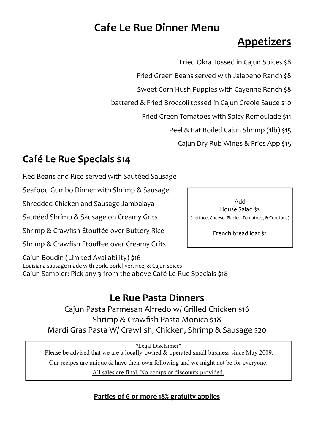## **Cafe Le Rue Dinner Menu**

# **Appetizers**

Fried Okra Tossed in Cajun Spices \$8

Fried Green Beans served with Jalapeno Ranch \$8

Sweet Corn Hush Puppies with Cayenne Ranch \$8

battered & Fried Broccoli tossed in Cajun Creole Sauce \$10

Fried Green Tomatoes with Spicy Remoulade \$11

Peel & Eat Boiled Cajun Shrimp (1lb) \$15

Cajun Dry Rub Wings & Fries App \$15

### **Café Le Rue Specials \$14**

Red Beans and Rice served with Sautéed Sausage

Seafood Gumbo Dinner with Shrimp & Sausage

Shredded Chicken and Sausage Jambalaya

Sautéed Shrimp & Sausage on Creamy Grits

Shrimp & Crawfish Étouffée over Buttery Rice

Shrimp & Crawfish Etouffee over Creamy Grits

Cajun Boudin (Limited Availability) \$16 Louisiana sausage made with pork, pork liver, rice, & Cajun spices Cajun Sampler: Pick any 3 from the above Café Le Rue Specials \$18

## **Le Rue Pasta Dinners**

Cajun Pasta Parmesan Alfredo w/ Grilled Chicken \$16 Shrimp & Crawfish Pasta Monica \$18 Mardi Gras Pasta W/ Crawfish, Chicken, Shrimp & Sausage \$20

\*Legal Disclaimer\*

Please be advised that we are a locally-owned & operated small business since May 2009.

Our recipes are unique & have their own following and we might not be for everyone.

All sales are final. No comps or discounts provided.

**Parties of 6 or more 18% gratuity applies**

Add House Salad \$3 (Lettuce, Cheese, Pickles, Tomatoes, & Croutons)

French bread loaf \$2